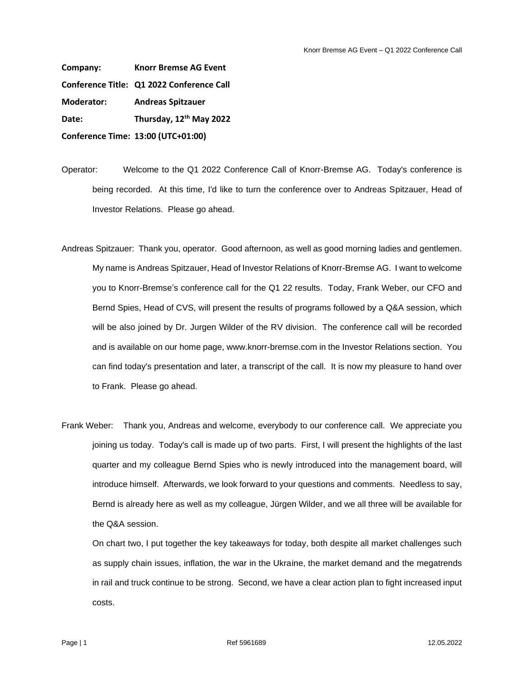**Company: Knorr Bremse AG Event Conference Title: Q1 2022 Conference Call Moderator: Andreas Spitzauer Date: Thursday, 12th May 2022 Conference Time: 13:00 (UTC+01:00)**

Operator: Welcome to the Q1 2022 Conference Call of Knorr-Bremse AG. Today's conference is being recorded. At this time, I'd like to turn the conference over to Andreas Spitzauer, Head of Investor Relations. Please go ahead.

- Andreas Spitzauer: Thank you, operator. Good afternoon, as well as good morning ladies and gentlemen. My name is Andreas Spitzauer, Head of Investor Relations of Knorr-Bremse AG. I want to welcome you to Knorr-Bremse's conference call for the Q1 22 results. Today, Frank Weber, our CFO and Bernd Spies, Head of CVS, will present the results of programs followed by a Q&A session, which will be also joined by Dr. Jurgen Wilder of the RV division. The conference call will be recorded and is available on our home page, www.knorr-bremse.com in the Investor Relations section. You can find today's presentation and later, a transcript of the call. It is now my pleasure to hand over to Frank. Please go ahead.
- Frank Weber: Thank you, Andreas and welcome, everybody to our conference call. We appreciate you joining us today. Today's call is made up of two parts. First, I will present the highlights of the last quarter and my colleague Bernd Spies who is newly introduced into the management board, will introduce himself. Afterwards, we look forward to your questions and comments. Needless to say, Bernd is already here as well as my colleague, Jürgen Wilder, and we all three will be available for the Q&A session.

On chart two, I put together the key takeaways for today, both despite all market challenges such as supply chain issues, inflation, the war in the Ukraine, the market demand and the megatrends in rail and truck continue to be strong. Second, we have a clear action plan to fight increased input costs.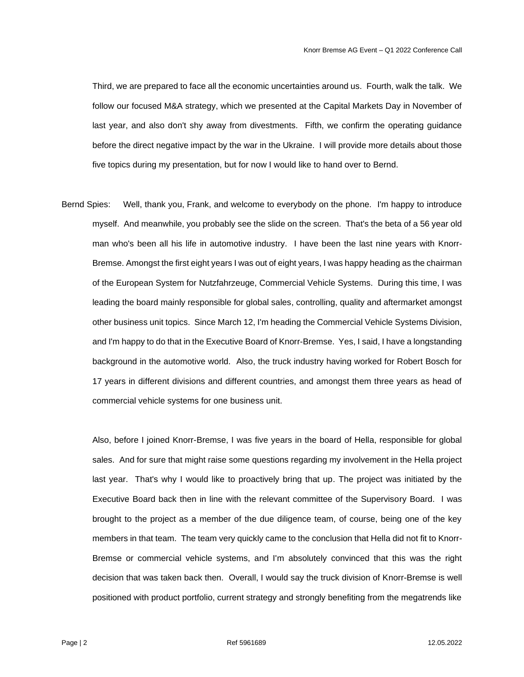Third, we are prepared to face all the economic uncertainties around us. Fourth, walk the talk. We follow our focused M&A strategy, which we presented at the Capital Markets Day in November of last year, and also don't shy away from divestments. Fifth, we confirm the operating guidance before the direct negative impact by the war in the Ukraine. I will provide more details about those five topics during my presentation, but for now I would like to hand over to Bernd.

Bernd Spies: Well, thank you, Frank, and welcome to everybody on the phone. I'm happy to introduce myself. And meanwhile, you probably see the slide on the screen. That's the beta of a 56 year old man who's been all his life in automotive industry. I have been the last nine years with Knorr-Bremse. Amongst the first eight years I was out of eight years, I was happy heading as the chairman of the European System for Nutzfahrzeuge, Commercial Vehicle Systems. During this time, I was leading the board mainly responsible for global sales, controlling, quality and aftermarket amongst other business unit topics. Since March 12, I'm heading the Commercial Vehicle Systems Division, and I'm happy to do that in the Executive Board of Knorr-Bremse. Yes, I said, I have a longstanding background in the automotive world. Also, the truck industry having worked for Robert Bosch for 17 years in different divisions and different countries, and amongst them three years as head of commercial vehicle systems for one business unit.

Also, before I joined Knorr-Bremse, I was five years in the board of Hella, responsible for global sales. And for sure that might raise some questions regarding my involvement in the Hella project last year. That's why I would like to proactively bring that up. The project was initiated by the Executive Board back then in line with the relevant committee of the Supervisory Board. I was brought to the project as a member of the due diligence team, of course, being one of the key members in that team. The team very quickly came to the conclusion that Hella did not fit to Knorr-Bremse or commercial vehicle systems, and I'm absolutely convinced that this was the right decision that was taken back then. Overall, I would say the truck division of Knorr-Bremse is well positioned with product portfolio, current strategy and strongly benefiting from the megatrends like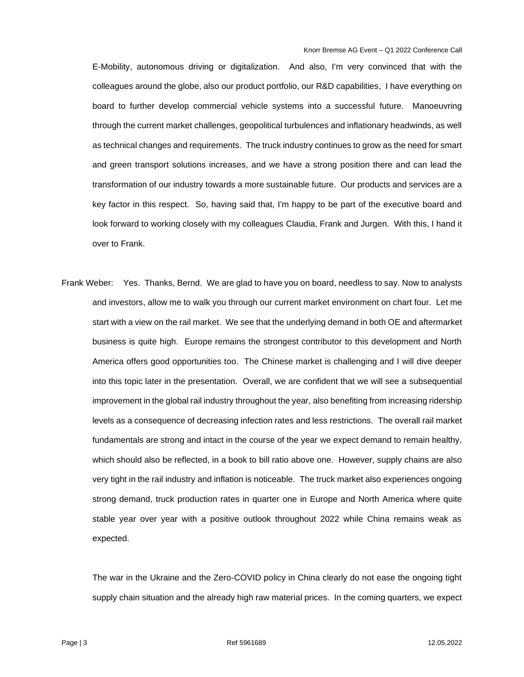E-Mobility, autonomous driving or digitalization. And also, I'm very convinced that with the colleagues around the globe, also our product portfolio, our R&D capabilities, I have everything on board to further develop commercial vehicle systems into a successful future. Manoeuvring through the current market challenges, geopolitical turbulences and inflationary headwinds, as well as technical changes and requirements. The truck industry continues to grow as the need for smart and green transport solutions increases, and we have a strong position there and can lead the transformation of our industry towards a more sustainable future. Our products and services are a key factor in this respect. So, having said that, I'm happy to be part of the executive board and look forward to working closely with my colleagues Claudia, Frank and Jurgen. With this, I hand it over to Frank.

Frank Weber: Yes. Thanks, Bernd. We are glad to have you on board, needless to say. Now to analysts and investors, allow me to walk you through our current market environment on chart four. Let me start with a view on the rail market. We see that the underlying demand in both OE and aftermarket business is quite high. Europe remains the strongest contributor to this development and North America offers good opportunities too. The Chinese market is challenging and I will dive deeper into this topic later in the presentation. Overall, we are confident that we will see a subsequential improvement in the global rail industry throughout the year, also benefiting from increasing ridership levels as a consequence of decreasing infection rates and less restrictions. The overall rail market fundamentals are strong and intact in the course of the year we expect demand to remain healthy, which should also be reflected, in a book to bill ratio above one. However, supply chains are also very tight in the rail industry and inflation is noticeable. The truck market also experiences ongoing strong demand, truck production rates in quarter one in Europe and North America where quite stable year over year with a positive outlook throughout 2022 while China remains weak as expected.

The war in the Ukraine and the Zero-COVID policy in China clearly do not ease the ongoing tight supply chain situation and the already high raw material prices. In the coming quarters, we expect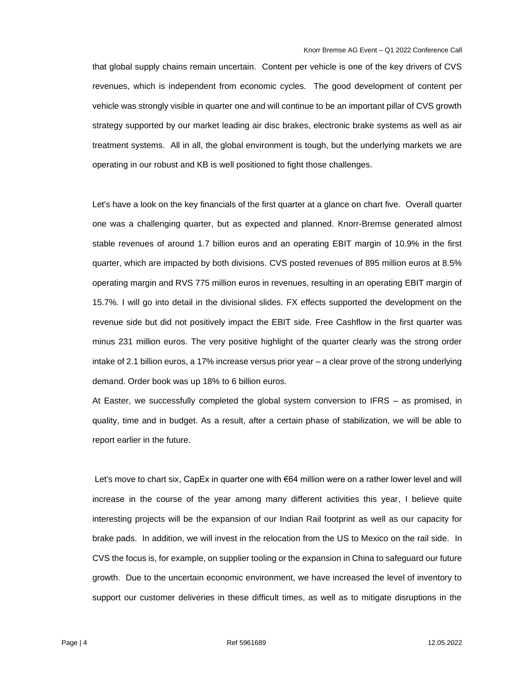that global supply chains remain uncertain. Content per vehicle is one of the key drivers of CVS revenues, which is independent from economic cycles. The good development of content per vehicle was strongly visible in quarter one and will continue to be an important pillar of CVS growth strategy supported by our market leading air disc brakes, electronic brake systems as well as air treatment systems. All in all, the global environment is tough, but the underlying markets we are operating in our robust and KB is well positioned to fight those challenges.

Let's have a look on the key financials of the first quarter at a glance on chart five. Overall quarter one was a challenging quarter, but as expected and planned. Knorr-Bremse generated almost stable revenues of around 1.7 billion euros and an operating EBIT margin of 10.9% in the first quarter, which are impacted by both divisions. CVS posted revenues of 895 million euros at 8.5% operating margin and RVS 775 million euros in revenues, resulting in an operating EBIT margin of 15.7%. I will go into detail in the divisional slides. FX effects supported the development on the revenue side but did not positively impact the EBIT side. Free Cashflow in the first quarter was minus 231 million euros. The very positive highlight of the quarter clearly was the strong order intake of 2.1 billion euros, a 17% increase versus prior year – a clear prove of the strong underlying demand. Order book was up 18% to 6 billion euros.

At Easter, we successfully completed the global system conversion to IFRS – as promised, in quality, time and in budget. As a result, after a certain phase of stabilization, we will be able to report earlier in the future.

Let's move to chart six, CapEx in quarter one with €64 million were on a rather lower level and will increase in the course of the year among many different activities this year, I believe quite interesting projects will be the expansion of our Indian Rail footprint as well as our capacity for brake pads. In addition, we will invest in the relocation from the US to Mexico on the rail side. In CVS the focus is, for example, on supplier tooling or the expansion in China to safeguard our future growth. Due to the uncertain economic environment, we have increased the level of inventory to support our customer deliveries in these difficult times, as well as to mitigate disruptions in the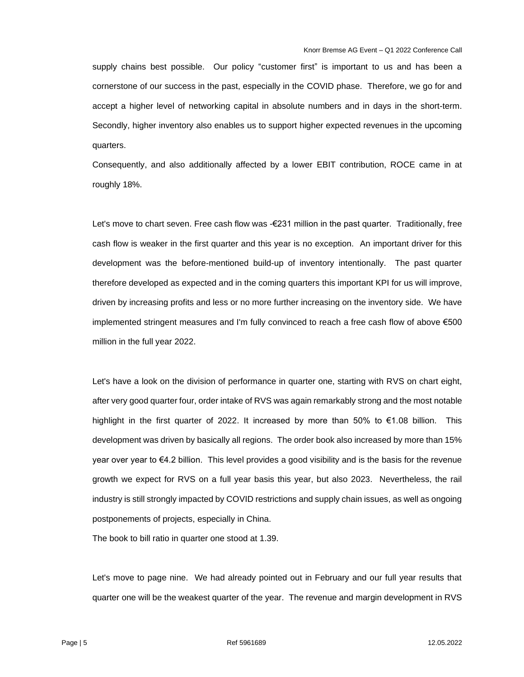supply chains best possible. Our policy "customer first" is important to us and has been a cornerstone of our success in the past, especially in the COVID phase. Therefore, we go for and accept a higher level of networking capital in absolute numbers and in days in the short-term. Secondly, higher inventory also enables us to support higher expected revenues in the upcoming quarters.

Consequently, and also additionally affected by a lower EBIT contribution, ROCE came in at roughly 18%.

Let's move to chart seven. Free cash flow was -€231 million in the past quarter. Traditionally, free cash flow is weaker in the first quarter and this year is no exception. An important driver for this development was the before-mentioned build-up of inventory intentionally. The past quarter therefore developed as expected and in the coming quarters this important KPI for us will improve, driven by increasing profits and less or no more further increasing on the inventory side. We have implemented stringent measures and I'm fully convinced to reach a free cash flow of above €500 million in the full year 2022.

Let's have a look on the division of performance in quarter one, starting with RVS on chart eight, after very good quarter four, order intake of RVS was again remarkably strong and the most notable highlight in the first quarter of 2022. It increased by more than 50% to €1.08 billion. This development was driven by basically all regions. The order book also increased by more than 15% year over year to €4.2 billion. This level provides a good visibility and is the basis for the revenue growth we expect for RVS on a full year basis this year, but also 2023. Nevertheless, the rail industry is still strongly impacted by COVID restrictions and supply chain issues, as well as ongoing postponements of projects, especially in China.

The book to bill ratio in quarter one stood at 1.39.

Let's move to page nine. We had already pointed out in February and our full year results that quarter one will be the weakest quarter of the year. The revenue and margin development in RVS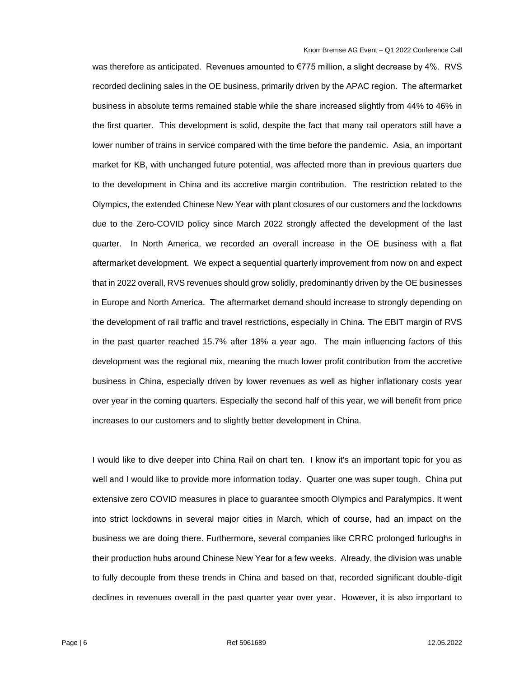was therefore as anticipated. Revenues amounted to €775 million, a slight decrease by 4%. RVS recorded declining sales in the OE business, primarily driven by the APAC region. The aftermarket business in absolute terms remained stable while the share increased slightly from 44% to 46% in the first quarter. This development is solid, despite the fact that many rail operators still have a lower number of trains in service compared with the time before the pandemic. Asia, an important market for KB, with unchanged future potential, was affected more than in previous quarters due to the development in China and its accretive margin contribution. The restriction related to the Olympics, the extended Chinese New Year with plant closures of our customers and the lockdowns due to the Zero-COVID policy since March 2022 strongly affected the development of the last quarter. In North America, we recorded an overall increase in the OE business with a flat aftermarket development. We expect a sequential quarterly improvement from now on and expect that in 2022 overall, RVS revenues should grow solidly, predominantly driven by the OE businesses in Europe and North America. The aftermarket demand should increase to strongly depending on the development of rail traffic and travel restrictions, especially in China. The EBIT margin of RVS in the past quarter reached 15.7% after 18% a year ago. The main influencing factors of this development was the regional mix, meaning the much lower profit contribution from the accretive business in China, especially driven by lower revenues as well as higher inflationary costs year over year in the coming quarters. Especially the second half of this year, we will benefit from price increases to our customers and to slightly better development in China.

I would like to dive deeper into China Rail on chart ten. I know it's an important topic for you as well and I would like to provide more information today. Quarter one was super tough. China put extensive zero COVID measures in place to guarantee smooth Olympics and Paralympics. It went into strict lockdowns in several major cities in March, which of course, had an impact on the business we are doing there. Furthermore, several companies like CRRC prolonged furloughs in their production hubs around Chinese New Year for a few weeks. Already, the division was unable to fully decouple from these trends in China and based on that, recorded significant double-digit declines in revenues overall in the past quarter year over year. However, it is also important to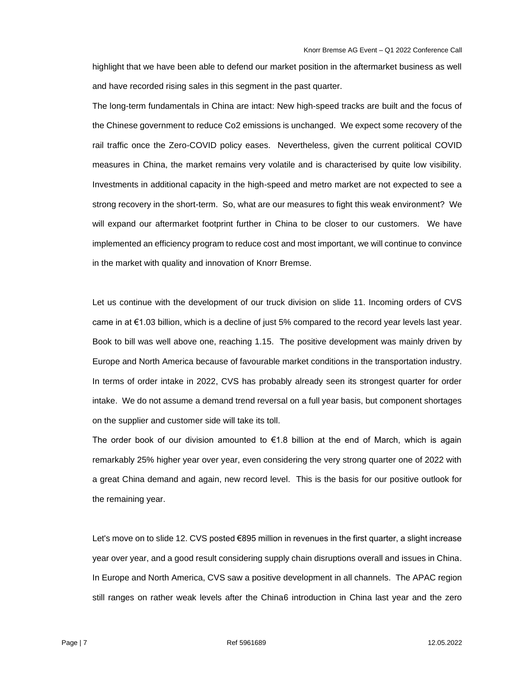highlight that we have been able to defend our market position in the aftermarket business as well and have recorded rising sales in this segment in the past quarter.

The long-term fundamentals in China are intact: New high-speed tracks are built and the focus of the Chinese government to reduce Co2 emissions is unchanged. We expect some recovery of the rail traffic once the Zero-COVID policy eases. Nevertheless, given the current political COVID measures in China, the market remains very volatile and is characterised by quite low visibility. Investments in additional capacity in the high-speed and metro market are not expected to see a strong recovery in the short-term. So, what are our measures to fight this weak environment? We will expand our aftermarket footprint further in China to be closer to our customers. We have implemented an efficiency program to reduce cost and most important, we will continue to convince in the market with quality and innovation of Knorr Bremse.

Let us continue with the development of our truck division on slide 11. Incoming orders of CVS came in at  $\epsilon$ 1.03 billion, which is a decline of just 5% compared to the record year levels last year. Book to bill was well above one, reaching 1.15. The positive development was mainly driven by Europe and North America because of favourable market conditions in the transportation industry. In terms of order intake in 2022, CVS has probably already seen its strongest quarter for order intake. We do not assume a demand trend reversal on a full year basis, but component shortages on the supplier and customer side will take its toll.

The order book of our division amounted to  $E1.8$  billion at the end of March, which is again remarkably 25% higher year over year, even considering the very strong quarter one of 2022 with a great China demand and again, new record level. This is the basis for our positive outlook for the remaining year.

Let's move on to slide 12. CVS posted €895 million in revenues in the first quarter, a slight increase year over year, and a good result considering supply chain disruptions overall and issues in China. In Europe and North America, CVS saw a positive development in all channels. The APAC region still ranges on rather weak levels after the China6 introduction in China last year and the zero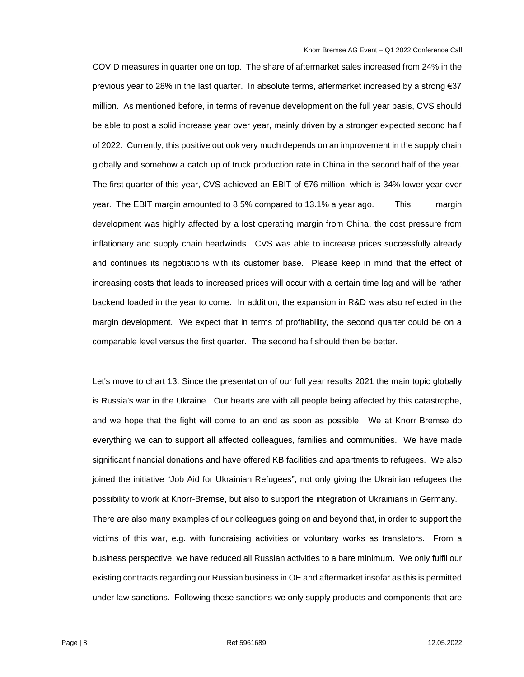COVID measures in quarter one on top. The share of aftermarket sales increased from 24% in the previous year to 28% in the last quarter. In absolute terms, aftermarket increased by a strong €37 million. As mentioned before, in terms of revenue development on the full year basis, CVS should be able to post a solid increase year over year, mainly driven by a stronger expected second half of 2022. Currently, this positive outlook very much depends on an improvement in the supply chain globally and somehow a catch up of truck production rate in China in the second half of the year. The first quarter of this year, CVS achieved an EBIT of €76 million, which is 34% lower year over year. The EBIT margin amounted to 8.5% compared to 13.1% a year ago. This margin development was highly affected by a lost operating margin from China, the cost pressure from inflationary and supply chain headwinds. CVS was able to increase prices successfully already and continues its negotiations with its customer base. Please keep in mind that the effect of increasing costs that leads to increased prices will occur with a certain time lag and will be rather backend loaded in the year to come. In addition, the expansion in R&D was also reflected in the margin development. We expect that in terms of profitability, the second quarter could be on a comparable level versus the first quarter. The second half should then be better.

Let's move to chart 13. Since the presentation of our full year results 2021 the main topic globally is Russia's war in the Ukraine. Our hearts are with all people being affected by this catastrophe, and we hope that the fight will come to an end as soon as possible. We at Knorr Bremse do everything we can to support all affected colleagues, families and communities. We have made significant financial donations and have offered KB facilities and apartments to refugees. We also joined the initiative "Job Aid for Ukrainian Refugees", not only giving the Ukrainian refugees the possibility to work at Knorr-Bremse, but also to support the integration of Ukrainians in Germany. There are also many examples of our colleagues going on and beyond that, in order to support the victims of this war, e.g. with fundraising activities or voluntary works as translators. From a business perspective, we have reduced all Russian activities to a bare minimum. We only fulfil our existing contracts regarding our Russian business in OE and aftermarket insofar as this is permitted under law sanctions. Following these sanctions we only supply products and components that are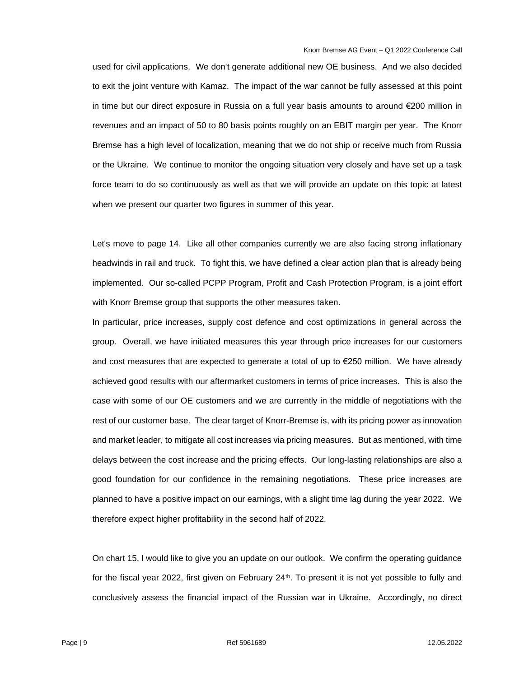used for civil applications. We don't generate additional new OE business. And we also decided to exit the joint venture with Kamaz. The impact of the war cannot be fully assessed at this point in time but our direct exposure in Russia on a full year basis amounts to around €200 million in revenues and an impact of 50 to 80 basis points roughly on an EBIT margin per year. The Knorr Bremse has a high level of localization, meaning that we do not ship or receive much from Russia or the Ukraine. We continue to monitor the ongoing situation very closely and have set up a task force team to do so continuously as well as that we will provide an update on this topic at latest when we present our quarter two figures in summer of this year.

Let's move to page 14. Like all other companies currently we are also facing strong inflationary headwinds in rail and truck. To fight this, we have defined a clear action plan that is already being implemented. Our so-called PCPP Program, Profit and Cash Protection Program, is a joint effort with Knorr Bremse group that supports the other measures taken.

In particular, price increases, supply cost defence and cost optimizations in general across the group. Overall, we have initiated measures this year through price increases for our customers and cost measures that are expected to generate a total of up to €250 million. We have already achieved good results with our aftermarket customers in terms of price increases. This is also the case with some of our OE customers and we are currently in the middle of negotiations with the rest of our customer base. The clear target of Knorr-Bremse is, with its pricing power as innovation and market leader, to mitigate all cost increases via pricing measures. But as mentioned, with time delays between the cost increase and the pricing effects. Our long-lasting relationships are also a good foundation for our confidence in the remaining negotiations. These price increases are planned to have a positive impact on our earnings, with a slight time lag during the year 2022. We therefore expect higher profitability in the second half of 2022.

On chart 15, I would like to give you an update on our outlook. We confirm the operating guidance for the fiscal year 2022, first given on February 24<sup>th</sup>. To present it is not yet possible to fully and conclusively assess the financial impact of the Russian war in Ukraine. Accordingly, no direct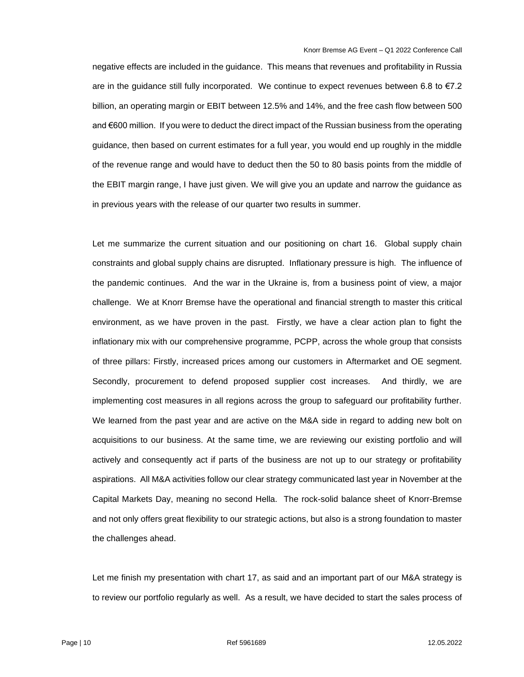negative effects are included in the guidance. This means that revenues and profitability in Russia are in the guidance still fully incorporated. We continue to expect revenues between 6.8 to €7.2 billion, an operating margin or EBIT between 12.5% and 14%, and the free cash flow between 500 and €600 million. If you were to deduct the direct impact of the Russian business from the operating guidance, then based on current estimates for a full year, you would end up roughly in the middle of the revenue range and would have to deduct then the 50 to 80 basis points from the middle of the EBIT margin range, I have just given. We will give you an update and narrow the guidance as in previous years with the release of our quarter two results in summer.

Let me summarize the current situation and our positioning on chart 16. Global supply chain constraints and global supply chains are disrupted. Inflationary pressure is high. The influence of the pandemic continues. And the war in the Ukraine is, from a business point of view, a major challenge. We at Knorr Bremse have the operational and financial strength to master this critical environment, as we have proven in the past. Firstly, we have a clear action plan to fight the inflationary mix with our comprehensive programme, PCPP, across the whole group that consists of three pillars: Firstly, increased prices among our customers in Aftermarket and OE segment. Secondly, procurement to defend proposed supplier cost increases. And thirdly, we are implementing cost measures in all regions across the group to safeguard our profitability further. We learned from the past year and are active on the M&A side in regard to adding new bolt on acquisitions to our business. At the same time, we are reviewing our existing portfolio and will actively and consequently act if parts of the business are not up to our strategy or profitability aspirations. All M&A activities follow our clear strategy communicated last year in November at the Capital Markets Day, meaning no second Hella. The rock-solid balance sheet of Knorr-Bremse and not only offers great flexibility to our strategic actions, but also is a strong foundation to master the challenges ahead.

Let me finish my presentation with chart 17, as said and an important part of our M&A strategy is to review our portfolio regularly as well. As a result, we have decided to start the sales process of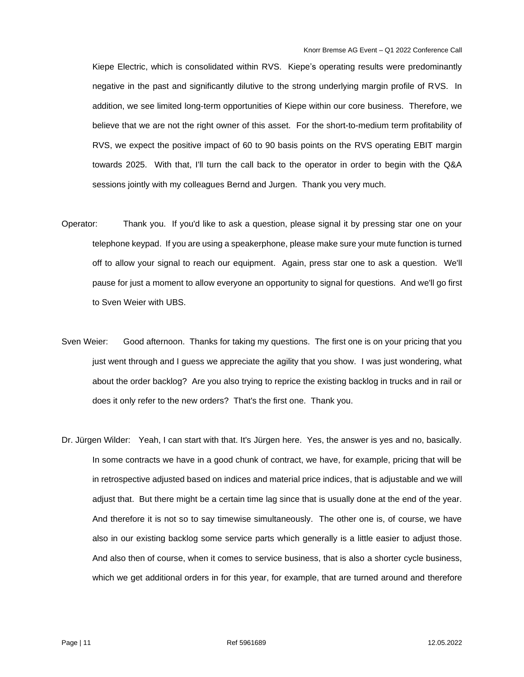Kiepe Electric, which is consolidated within RVS. Kiepe's operating results were predominantly negative in the past and significantly dilutive to the strong underlying margin profile of RVS. In addition, we see limited long-term opportunities of Kiepe within our core business. Therefore, we believe that we are not the right owner of this asset. For the short-to-medium term profitability of RVS, we expect the positive impact of 60 to 90 basis points on the RVS operating EBIT margin towards 2025. With that, I'll turn the call back to the operator in order to begin with the Q&A sessions jointly with my colleagues Bernd and Jurgen. Thank you very much.

- Operator: Thank you. If you'd like to ask a question, please signal it by pressing star one on your telephone keypad. If you are using a speakerphone, please make sure your mute function is turned off to allow your signal to reach our equipment. Again, press star one to ask a question. We'll pause for just a moment to allow everyone an opportunity to signal for questions. And we'll go first to Sven Weier with UBS.
- Sven Weier: Good afternoon. Thanks for taking my questions. The first one is on your pricing that you just went through and I guess we appreciate the agility that you show. I was just wondering, what about the order backlog? Are you also trying to reprice the existing backlog in trucks and in rail or does it only refer to the new orders? That's the first one. Thank you.
- Dr. Jürgen Wilder: Yeah, I can start with that. It's Jürgen here. Yes, the answer is yes and no, basically. In some contracts we have in a good chunk of contract, we have, for example, pricing that will be in retrospective adjusted based on indices and material price indices, that is adjustable and we will adjust that. But there might be a certain time lag since that is usually done at the end of the year. And therefore it is not so to say timewise simultaneously. The other one is, of course, we have also in our existing backlog some service parts which generally is a little easier to adjust those. And also then of course, when it comes to service business, that is also a shorter cycle business, which we get additional orders in for this year, for example, that are turned around and therefore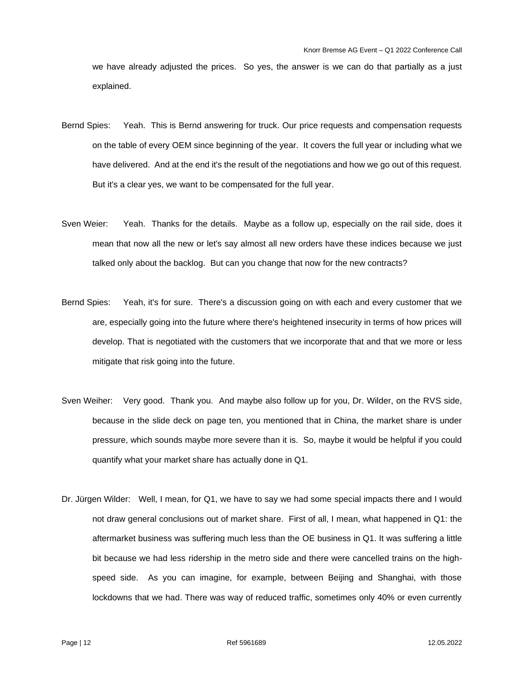we have already adjusted the prices. So yes, the answer is we can do that partially as a just explained.

- Bernd Spies: Yeah. This is Bernd answering for truck. Our price requests and compensation requests on the table of every OEM since beginning of the year. It covers the full year or including what we have delivered. And at the end it's the result of the negotiations and how we go out of this request. But it's a clear yes, we want to be compensated for the full year.
- Sven Weier: Yeah. Thanks for the details. Maybe as a follow up, especially on the rail side, does it mean that now all the new or let's say almost all new orders have these indices because we just talked only about the backlog. But can you change that now for the new contracts?
- Bernd Spies: Yeah, it's for sure. There's a discussion going on with each and every customer that we are, especially going into the future where there's heightened insecurity in terms of how prices will develop. That is negotiated with the customers that we incorporate that and that we more or less mitigate that risk going into the future.
- Sven Weiher: Very good. Thank you. And maybe also follow up for you, Dr. Wilder, on the RVS side, because in the slide deck on page ten, you mentioned that in China, the market share is under pressure, which sounds maybe more severe than it is. So, maybe it would be helpful if you could quantify what your market share has actually done in Q1.
- Dr. Jürgen Wilder: Well, I mean, for Q1, we have to say we had some special impacts there and I would not draw general conclusions out of market share. First of all, I mean, what happened in Q1: the aftermarket business was suffering much less than the OE business in Q1. It was suffering a little bit because we had less ridership in the metro side and there were cancelled trains on the highspeed side. As you can imagine, for example, between Beijing and Shanghai, with those lockdowns that we had. There was way of reduced traffic, sometimes only 40% or even currently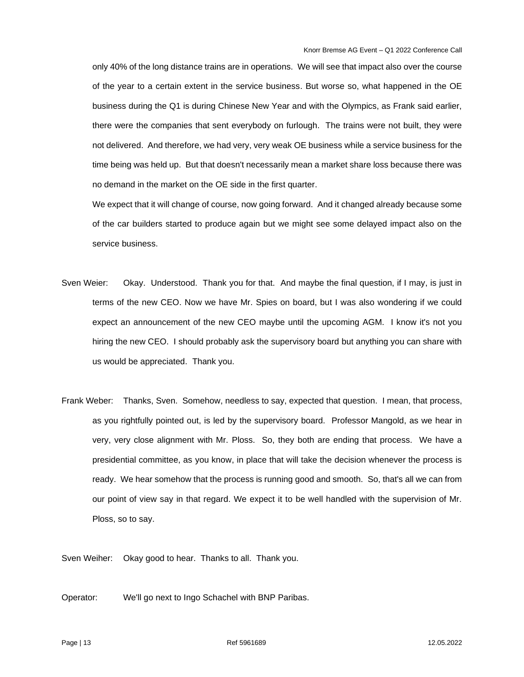only 40% of the long distance trains are in operations. We will see that impact also over the course of the year to a certain extent in the service business. But worse so, what happened in the OE business during the Q1 is during Chinese New Year and with the Olympics, as Frank said earlier, there were the companies that sent everybody on furlough. The trains were not built, they were not delivered. And therefore, we had very, very weak OE business while a service business for the time being was held up. But that doesn't necessarily mean a market share loss because there was no demand in the market on the OE side in the first quarter.

We expect that it will change of course, now going forward. And it changed already because some of the car builders started to produce again but we might see some delayed impact also on the service business.

- Sven Weier: Okay. Understood. Thank you for that. And maybe the final question, if I may, is just in terms of the new CEO. Now we have Mr. Spies on board, but I was also wondering if we could expect an announcement of the new CEO maybe until the upcoming AGM. I know it's not you hiring the new CEO. I should probably ask the supervisory board but anything you can share with us would be appreciated. Thank you.
- Frank Weber: Thanks, Sven. Somehow, needless to say, expected that question. I mean, that process, as you rightfully pointed out, is led by the supervisory board. Professor Mangold, as we hear in very, very close alignment with Mr. Ploss. So, they both are ending that process. We have a presidential committee, as you know, in place that will take the decision whenever the process is ready. We hear somehow that the process is running good and smooth. So, that's all we can from our point of view say in that regard. We expect it to be well handled with the supervision of Mr. Ploss, so to say.

Sven Weiher: Okay good to hear. Thanks to all. Thank you.

Operator: We'll go next to Ingo Schachel with BNP Paribas.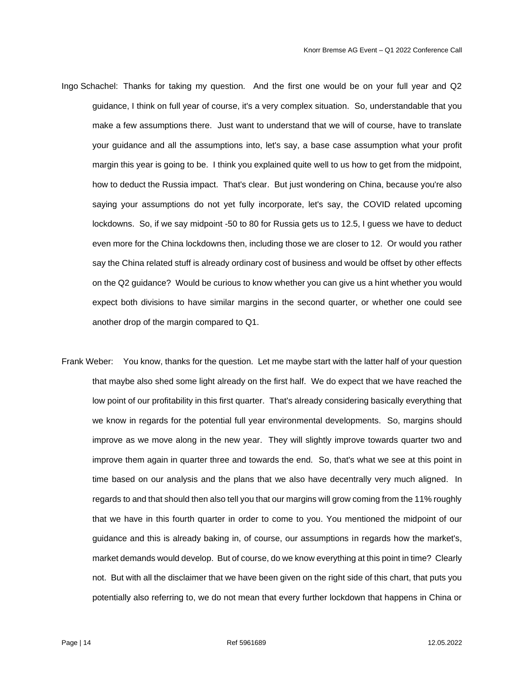- Ingo Schachel: Thanks for taking my question. And the first one would be on your full year and Q2 guidance, I think on full year of course, it's a very complex situation. So, understandable that you make a few assumptions there. Just want to understand that we will of course, have to translate your guidance and all the assumptions into, let's say, a base case assumption what your profit margin this year is going to be. I think you explained quite well to us how to get from the midpoint, how to deduct the Russia impact. That's clear. But just wondering on China, because you're also saying your assumptions do not yet fully incorporate, let's say, the COVID related upcoming lockdowns. So, if we say midpoint -50 to 80 for Russia gets us to 12.5, I guess we have to deduct even more for the China lockdowns then, including those we are closer to 12. Or would you rather say the China related stuff is already ordinary cost of business and would be offset by other effects on the Q2 guidance? Would be curious to know whether you can give us a hint whether you would expect both divisions to have similar margins in the second quarter, or whether one could see another drop of the margin compared to Q1.
- Frank Weber: You know, thanks for the question. Let me maybe start with the latter half of your question that maybe also shed some light already on the first half. We do expect that we have reached the low point of our profitability in this first quarter. That's already considering basically everything that we know in regards for the potential full year environmental developments. So, margins should improve as we move along in the new year. They will slightly improve towards quarter two and improve them again in quarter three and towards the end. So, that's what we see at this point in time based on our analysis and the plans that we also have decentrally very much aligned. In regards to and that should then also tell you that our margins will grow coming from the 11% roughly that we have in this fourth quarter in order to come to you. You mentioned the midpoint of our guidance and this is already baking in, of course, our assumptions in regards how the market's, market demands would develop. But of course, do we know everything at this point in time? Clearly not. But with all the disclaimer that we have been given on the right side of this chart, that puts you potentially also referring to, we do not mean that every further lockdown that happens in China or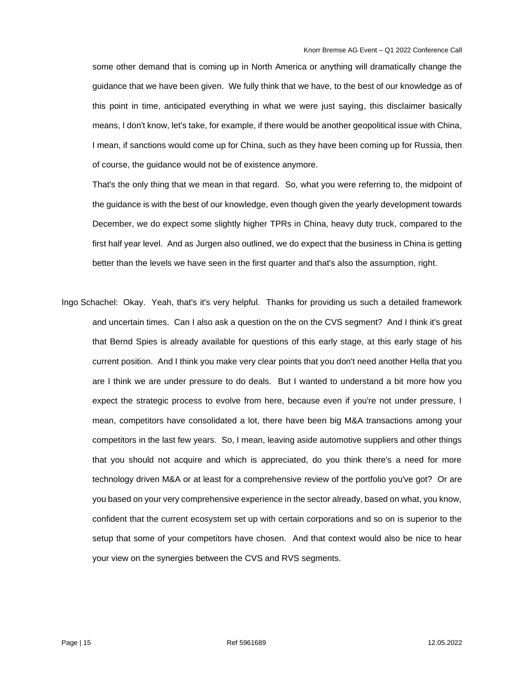some other demand that is coming up in North America or anything will dramatically change the guidance that we have been given. We fully think that we have, to the best of our knowledge as of this point in time, anticipated everything in what we were just saying, this disclaimer basically means, I don't know, let's take, for example, if there would be another geopolitical issue with China, I mean, if sanctions would come up for China, such as they have been coming up for Russia, then of course, the guidance would not be of existence anymore.

That's the only thing that we mean in that regard. So, what you were referring to, the midpoint of the guidance is with the best of our knowledge, even though given the yearly development towards December, we do expect some slightly higher TPRs in China, heavy duty truck, compared to the first half year level. And as Jurgen also outlined, we do expect that the business in China is getting better than the levels we have seen in the first quarter and that's also the assumption, right.

Ingo Schachel: Okay. Yeah, that's it's very helpful. Thanks for providing us such a detailed framework and uncertain times. Can I also ask a question on the on the CVS segment? And I think it's great that Bernd Spies is already available for questions of this early stage, at this early stage of his current position. And I think you make very clear points that you don't need another Hella that you are I think we are under pressure to do deals. But I wanted to understand a bit more how you expect the strategic process to evolve from here, because even if you're not under pressure, I mean, competitors have consolidated a lot, there have been big M&A transactions among your competitors in the last few years. So, I mean, leaving aside automotive suppliers and other things that you should not acquire and which is appreciated, do you think there's a need for more technology driven M&A or at least for a comprehensive review of the portfolio you've got? Or are you based on your very comprehensive experience in the sector already, based on what, you know, confident that the current ecosystem set up with certain corporations and so on is superior to the setup that some of your competitors have chosen. And that context would also be nice to hear your view on the synergies between the CVS and RVS segments.

Page | 15 Ref 5961689 12.05.2022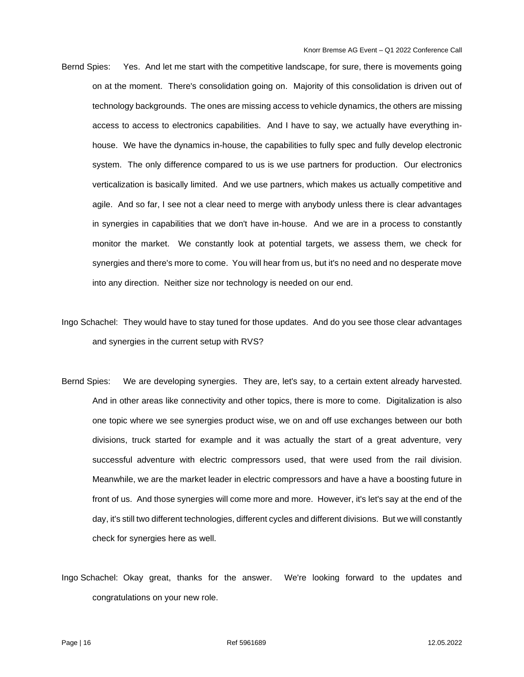- Bernd Spies: Yes. And let me start with the competitive landscape, for sure, there is movements going on at the moment. There's consolidation going on. Majority of this consolidation is driven out of technology backgrounds. The ones are missing access to vehicle dynamics, the others are missing access to access to electronics capabilities. And I have to say, we actually have everything inhouse. We have the dynamics in-house, the capabilities to fully spec and fully develop electronic system. The only difference compared to us is we use partners for production. Our electronics verticalization is basically limited. And we use partners, which makes us actually competitive and agile. And so far, I see not a clear need to merge with anybody unless there is clear advantages in synergies in capabilities that we don't have in-house. And we are in a process to constantly monitor the market. We constantly look at potential targets, we assess them, we check for synergies and there's more to come. You will hear from us, but it's no need and no desperate move into any direction. Neither size nor technology is needed on our end.
- Ingo Schachel: They would have to stay tuned for those updates. And do you see those clear advantages and synergies in the current setup with RVS?
- Bernd Spies: We are developing synergies. They are, let's say, to a certain extent already harvested. And in other areas like connectivity and other topics, there is more to come. Digitalization is also one topic where we see synergies product wise, we on and off use exchanges between our both divisions, truck started for example and it was actually the start of a great adventure, very successful adventure with electric compressors used, that were used from the rail division. Meanwhile, we are the market leader in electric compressors and have a have a boosting future in front of us. And those synergies will come more and more. However, it's let's say at the end of the day, it's still two different technologies, different cycles and different divisions. But we will constantly check for synergies here as well.
- Ingo Schachel: Okay great, thanks for the answer. We're looking forward to the updates and congratulations on your new role.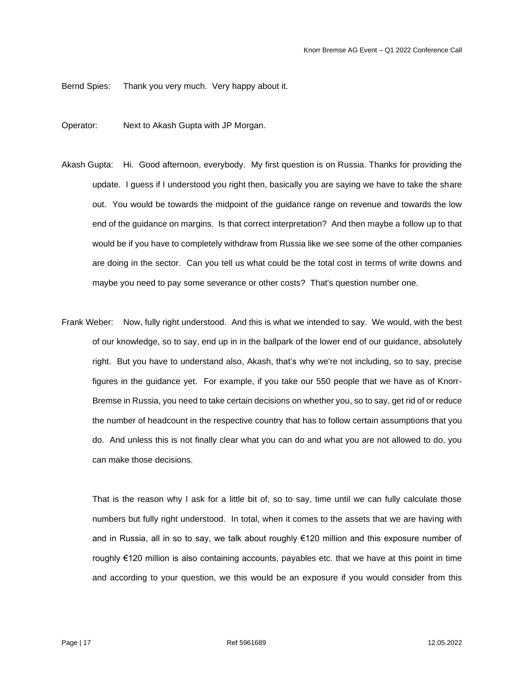Bernd Spies: Thank you very much. Very happy about it.

- Operator: Next to Akash Gupta with JP Morgan.
- Akash Gupta: Hi. Good afternoon, everybody. My first question is on Russia. Thanks for providing the update. I guess if I understood you right then, basically you are saying we have to take the share out. You would be towards the midpoint of the guidance range on revenue and towards the low end of the guidance on margins. Is that correct interpretation? And then maybe a follow up to that would be if you have to completely withdraw from Russia like we see some of the other companies are doing in the sector. Can you tell us what could be the total cost in terms of write downs and maybe you need to pay some severance or other costs? That's question number one.
- Frank Weber: Now, fully right understood. And this is what we intended to say. We would, with the best of our knowledge, so to say, end up in in the ballpark of the lower end of our guidance, absolutely right. But you have to understand also, Akash, that's why we're not including, so to say, precise figures in the guidance yet. For example, if you take our 550 people that we have as of Knorr-Bremse in Russia, you need to take certain decisions on whether you, so to say, get rid of or reduce the number of headcount in the respective country that has to follow certain assumptions that you do. And unless this is not finally clear what you can do and what you are not allowed to do, you can make those decisions.

That is the reason why I ask for a little bit of, so to say, time until we can fully calculate those numbers but fully right understood. In total, when it comes to the assets that we are having with and in Russia, all in so to say, we talk about roughly €120 million and this exposure number of roughly €120 million is also containing accounts, payables etc. that we have at this point in time and according to your question, we this would be an exposure if you would consider from this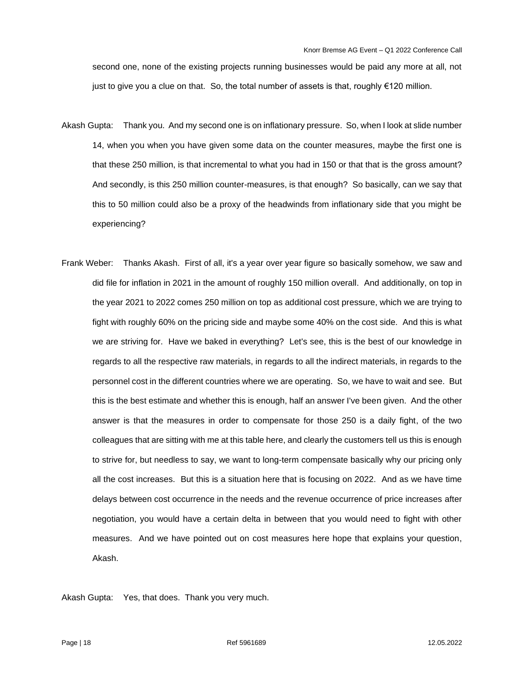second one, none of the existing projects running businesses would be paid any more at all, not just to give you a clue on that. So, the total number of assets is that, roughly €120 million.

- Akash Gupta: Thank you. And my second one is on inflationary pressure. So, when I look at slide number 14, when you when you have given some data on the counter measures, maybe the first one is that these 250 million, is that incremental to what you had in 150 or that that is the gross amount? And secondly, is this 250 million counter-measures, is that enough? So basically, can we say that this to 50 million could also be a proxy of the headwinds from inflationary side that you might be experiencing?
- Frank Weber: Thanks Akash. First of all, it's a year over year figure so basically somehow, we saw and did file for inflation in 2021 in the amount of roughly 150 million overall. And additionally, on top in the year 2021 to 2022 comes 250 million on top as additional cost pressure, which we are trying to fight with roughly 60% on the pricing side and maybe some 40% on the cost side. And this is what we are striving for. Have we baked in everything? Let's see, this is the best of our knowledge in regards to all the respective raw materials, in regards to all the indirect materials, in regards to the personnel cost in the different countries where we are operating. So, we have to wait and see. But this is the best estimate and whether this is enough, half an answer I've been given. And the other answer is that the measures in order to compensate for those 250 is a daily fight, of the two colleagues that are sitting with me at this table here, and clearly the customers tell us this is enough to strive for, but needless to say, we want to long-term compensate basically why our pricing only all the cost increases. But this is a situation here that is focusing on 2022. And as we have time delays between cost occurrence in the needs and the revenue occurrence of price increases after negotiation, you would have a certain delta in between that you would need to fight with other measures. And we have pointed out on cost measures here hope that explains your question, Akash.

Akash Gupta: Yes, that does. Thank you very much.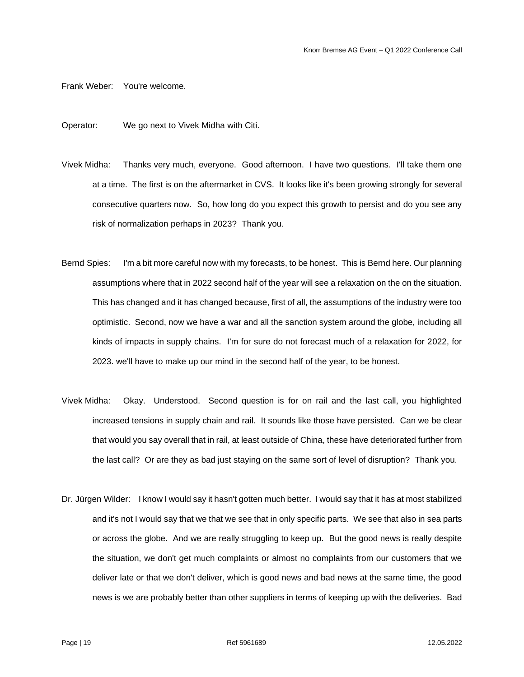Frank Weber: You're welcome.

Operator: We go next to Vivek Midha with Citi.

- Vivek Midha: Thanks very much, everyone. Good afternoon. I have two questions. I'll take them one at a time. The first is on the aftermarket in CVS. It looks like it's been growing strongly for several consecutive quarters now. So, how long do you expect this growth to persist and do you see any risk of normalization perhaps in 2023? Thank you.
- Bernd Spies: I'm a bit more careful now with my forecasts, to be honest. This is Bernd here. Our planning assumptions where that in 2022 second half of the year will see a relaxation on the on the situation. This has changed and it has changed because, first of all, the assumptions of the industry were too optimistic. Second, now we have a war and all the sanction system around the globe, including all kinds of impacts in supply chains. I'm for sure do not forecast much of a relaxation for 2022, for 2023. we'll have to make up our mind in the second half of the year, to be honest.
- Vivek Midha: Okay. Understood. Second question is for on rail and the last call, you highlighted increased tensions in supply chain and rail. It sounds like those have persisted. Can we be clear that would you say overall that in rail, at least outside of China, these have deteriorated further from the last call? Or are they as bad just staying on the same sort of level of disruption? Thank you.
- Dr. Jürgen Wilder: I know I would say it hasn't gotten much better. I would say that it has at most stabilized and it's not I would say that we that we see that in only specific parts. We see that also in sea parts or across the globe. And we are really struggling to keep up. But the good news is really despite the situation, we don't get much complaints or almost no complaints from our customers that we deliver late or that we don't deliver, which is good news and bad news at the same time, the good news is we are probably better than other suppliers in terms of keeping up with the deliveries. Bad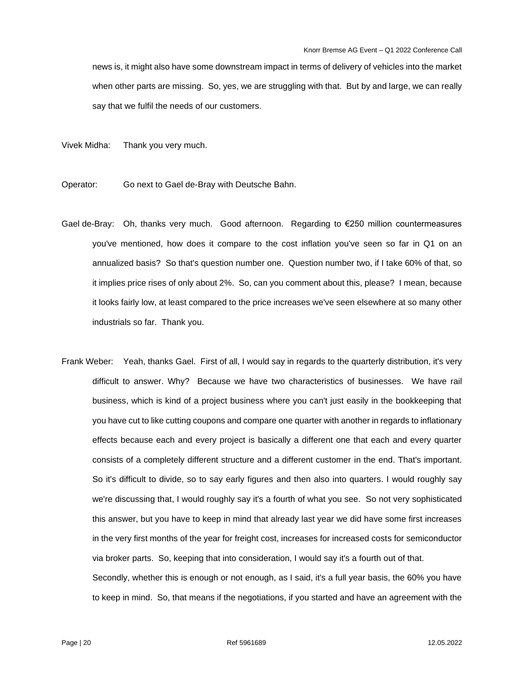news is, it might also have some downstream impact in terms of delivery of vehicles into the market when other parts are missing. So, yes, we are struggling with that. But by and large, we can really say that we fulfil the needs of our customers.

Vivek Midha: Thank you very much.

- Operator: Go next to Gael de-Bray with Deutsche Bahn.
- Gael de-Bray: Oh, thanks very much. Good afternoon. Regarding to €250 million countermeasures you've mentioned, how does it compare to the cost inflation you've seen so far in Q1 on an annualized basis? So that's question number one. Question number two, if I take 60% of that, so it implies price rises of only about 2%. So, can you comment about this, please? I mean, because it looks fairly low, at least compared to the price increases we've seen elsewhere at so many other industrials so far. Thank you.
- Frank Weber: Yeah, thanks Gael. First of all, I would say in regards to the quarterly distribution, it's very difficult to answer. Why? Because we have two characteristics of businesses. We have rail business, which is kind of a project business where you can't just easily in the bookkeeping that you have cut to like cutting coupons and compare one quarter with another in regards to inflationary effects because each and every project is basically a different one that each and every quarter consists of a completely different structure and a different customer in the end. That's important. So it's difficult to divide, so to say early figures and then also into quarters. I would roughly say we're discussing that, I would roughly say it's a fourth of what you see. So not very sophisticated this answer, but you have to keep in mind that already last year we did have some first increases in the very first months of the year for freight cost, increases for increased costs for semiconductor via broker parts. So, keeping that into consideration, I would say it's a fourth out of that.

Secondly, whether this is enough or not enough, as I said, it's a full year basis, the 60% you have to keep in mind. So, that means if the negotiations, if you started and have an agreement with the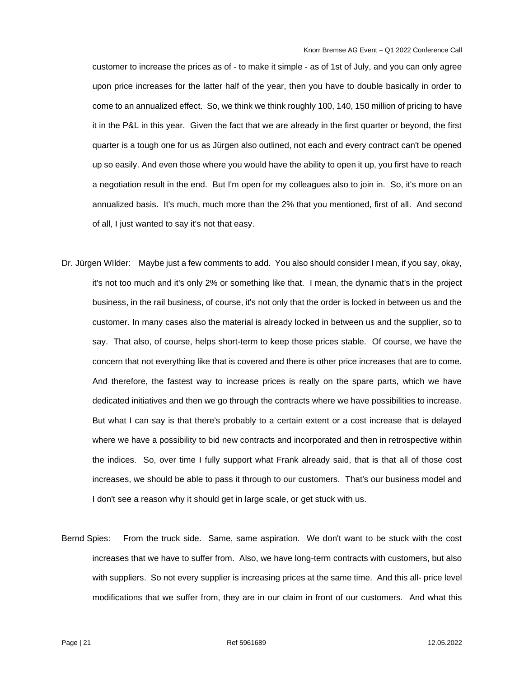customer to increase the prices as of - to make it simple - as of 1st of July, and you can only agree upon price increases for the latter half of the year, then you have to double basically in order to come to an annualized effect. So, we think we think roughly 100, 140, 150 million of pricing to have it in the P&L in this year. Given the fact that we are already in the first quarter or beyond, the first quarter is a tough one for us as Jürgen also outlined, not each and every contract can't be opened up so easily. And even those where you would have the ability to open it up, you first have to reach a negotiation result in the end. But I'm open for my colleagues also to join in. So, it's more on an annualized basis. It's much, much more than the 2% that you mentioned, first of all. And second of all, I just wanted to say it's not that easy.

- Dr. Jürgen WIlder: Maybe just a few comments to add. You also should consider I mean, if you say, okay, it's not too much and it's only 2% or something like that. I mean, the dynamic that's in the project business, in the rail business, of course, it's not only that the order is locked in between us and the customer. In many cases also the material is already locked in between us and the supplier, so to say. That also, of course, helps short-term to keep those prices stable. Of course, we have the concern that not everything like that is covered and there is other price increases that are to come. And therefore, the fastest way to increase prices is really on the spare parts, which we have dedicated initiatives and then we go through the contracts where we have possibilities to increase. But what I can say is that there's probably to a certain extent or a cost increase that is delayed where we have a possibility to bid new contracts and incorporated and then in retrospective within the indices. So, over time I fully support what Frank already said, that is that all of those cost increases, we should be able to pass it through to our customers. That's our business model and I don't see a reason why it should get in large scale, or get stuck with us.
- Bernd Spies: From the truck side. Same, same aspiration. We don't want to be stuck with the cost increases that we have to suffer from. Also, we have long-term contracts with customers, but also with suppliers. So not every supplier is increasing prices at the same time. And this all- price level modifications that we suffer from, they are in our claim in front of our customers. And what this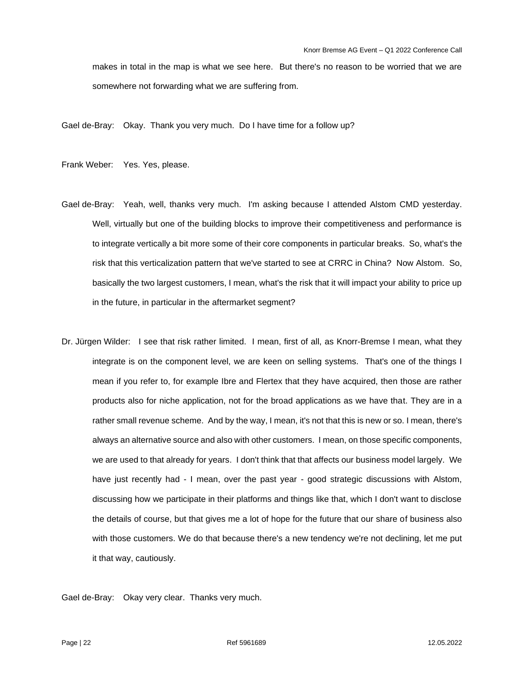makes in total in the map is what we see here. But there's no reason to be worried that we are somewhere not forwarding what we are suffering from.

Gael de-Bray: Okay. Thank you very much. Do I have time for a follow up?

Frank Weber: Yes. Yes, please.

- Gael de-Bray: Yeah, well, thanks very much. I'm asking because I attended Alstom CMD yesterday. Well, virtually but one of the building blocks to improve their competitiveness and performance is to integrate vertically a bit more some of their core components in particular breaks. So, what's the risk that this verticalization pattern that we've started to see at CRRC in China? Now Alstom. So, basically the two largest customers, I mean, what's the risk that it will impact your ability to price up in the future, in particular in the aftermarket segment?
- Dr. Jürgen Wilder: I see that risk rather limited. I mean, first of all, as Knorr-Bremse I mean, what they integrate is on the component level, we are keen on selling systems. That's one of the things I mean if you refer to, for example Ibre and Flertex that they have acquired, then those are rather products also for niche application, not for the broad applications as we have that. They are in a rather small revenue scheme. And by the way, I mean, it's not that this is new or so. I mean, there's always an alternative source and also with other customers. I mean, on those specific components, we are used to that already for years. I don't think that that affects our business model largely. We have just recently had - I mean, over the past year - good strategic discussions with Alstom, discussing how we participate in their platforms and things like that, which I don't want to disclose the details of course, but that gives me a lot of hope for the future that our share of business also with those customers. We do that because there's a new tendency we're not declining, let me put it that way, cautiously.

Gael de-Bray: Okay very clear. Thanks very much.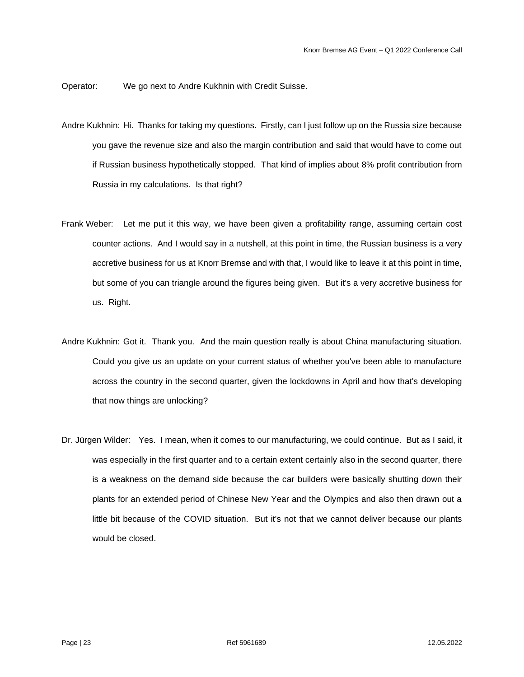Operator: We go next to Andre Kukhnin with Credit Suisse.

- Andre Kukhnin: Hi. Thanks for taking my questions. Firstly, can I just follow up on the Russia size because you gave the revenue size and also the margin contribution and said that would have to come out if Russian business hypothetically stopped. That kind of implies about 8% profit contribution from Russia in my calculations. Is that right?
- Frank Weber: Let me put it this way, we have been given a profitability range, assuming certain cost counter actions. And I would say in a nutshell, at this point in time, the Russian business is a very accretive business for us at Knorr Bremse and with that, I would like to leave it at this point in time, but some of you can triangle around the figures being given. But it's a very accretive business for us. Right.
- Andre Kukhnin: Got it. Thank you. And the main question really is about China manufacturing situation. Could you give us an update on your current status of whether you've been able to manufacture across the country in the second quarter, given the lockdowns in April and how that's developing that now things are unlocking?
- Dr. Jürgen Wilder: Yes. I mean, when it comes to our manufacturing, we could continue. But as I said, it was especially in the first quarter and to a certain extent certainly also in the second quarter, there is a weakness on the demand side because the car builders were basically shutting down their plants for an extended period of Chinese New Year and the Olympics and also then drawn out a little bit because of the COVID situation. But it's not that we cannot deliver because our plants would be closed.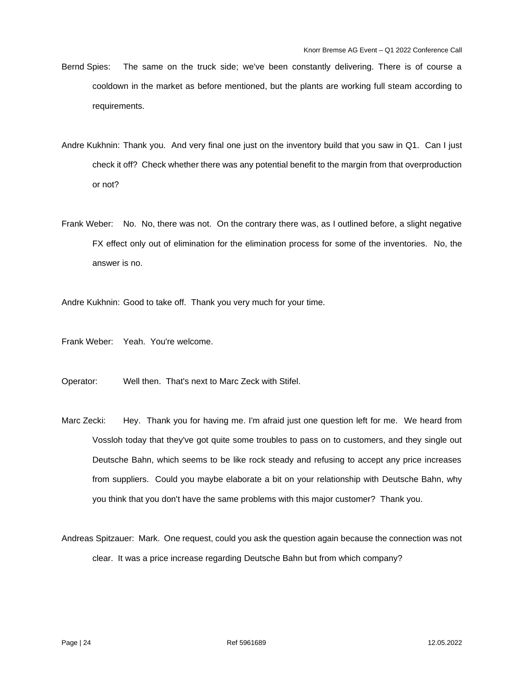- Bernd Spies: The same on the truck side; we've been constantly delivering. There is of course a cooldown in the market as before mentioned, but the plants are working full steam according to requirements.
- Andre Kukhnin: Thank you. And very final one just on the inventory build that you saw in Q1. Can I just check it off? Check whether there was any potential benefit to the margin from that overproduction or not?
- Frank Weber: No. No, there was not. On the contrary there was, as I outlined before, a slight negative FX effect only out of elimination for the elimination process for some of the inventories. No, the answer is no.

Andre Kukhnin: Good to take off. Thank you very much for your time.

Frank Weber: Yeah. You're welcome.

Operator: Well then. That's next to Marc Zeck with Stifel.

Marc Zecki: Hey. Thank you for having me. I'm afraid just one question left for me. We heard from Vossloh today that they've got quite some troubles to pass on to customers, and they single out Deutsche Bahn, which seems to be like rock steady and refusing to accept any price increases from suppliers. Could you maybe elaborate a bit on your relationship with Deutsche Bahn, why you think that you don't have the same problems with this major customer? Thank you.

Andreas Spitzauer: Mark. One request, could you ask the question again because the connection was not clear. It was a price increase regarding Deutsche Bahn but from which company?